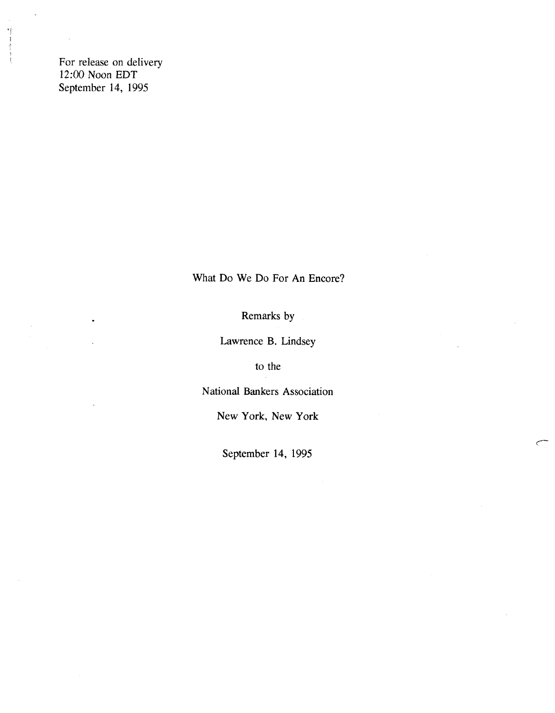For release on delivery 12:00 Noon EDT September 14, 1995

 $\mathbf{r}_\mathrm{F}$  $\mathfrak{f}$ 

What Do We Do For An Encore?

Remarks by

Lawrence B. Lindsey

to the

National Bankers Association

New York, New York

September 14, 1995

C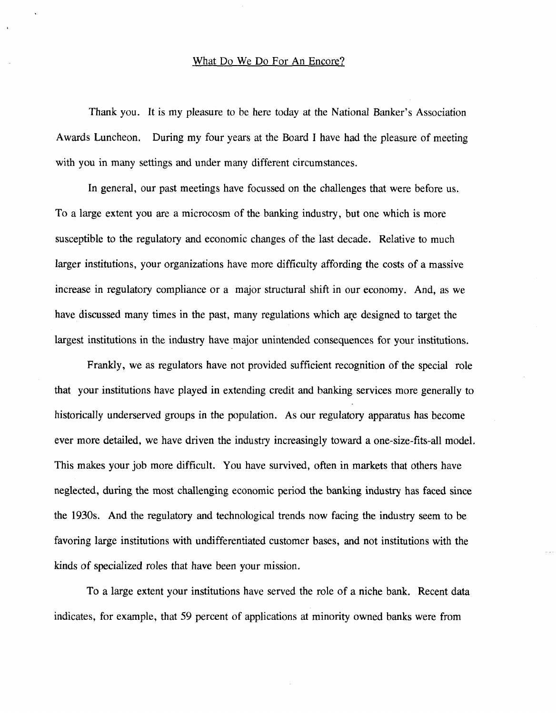#### What Do We Do For An Encore?

Thank you. It is my pleasure to be here today at the National Banker's Association Awards Luncheon. During my four years at the Board I have had the pleasure of meeting with you in many settings and under many different circumstances.

In general, our past meetings have focussed on the challenges that were before us. To a large extent you are a microcosm of the banking industry, but one which is more susceptible to the regulatory and economic changes of the last decade. Relative to much larger institutions, your organizations have more difficulty affording the costs of a massive increase in regulatory compliance or a major structural shift in our economy. And, as we have discussed many times in the past, many regulations which are designed to target the largest institutions in the industry have major unintended consequences for your institutions.

Frankly, we as regulators have not provided sufficient recognition of the special role that your institutions have played in extending credit and banking services more generally to historically underserved groups in the population. As our regulatory apparatus has become ever more detailed, we have driven the industry increasingly toward a one-size-fits-all model. This makes your job more difficult. You have survived, often in markets that others have neglected, during the most challenging economic period the banking industry has faced since the 1930s. And the regulatory and technological trends now facing the industry seem to be favoring large institutions with undifferentiated customer bases, and not institutions with the kinds of specialized roles that have been your mission.

To a large extent your institutions have served the role of a niche bank. Recent data indicates, for example, that 59 percent of applications at minority owned banks were from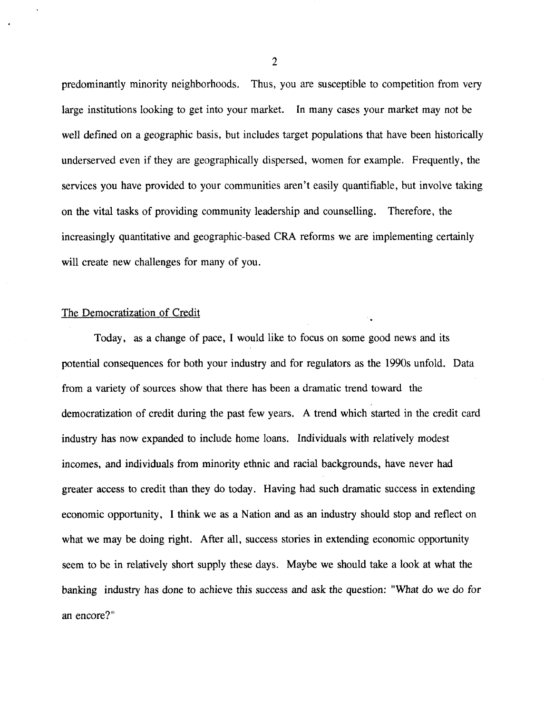predominantly minority neighborhoods. Thus, you are susceptible to competition from very large institutions looking to get into your market. In many cases your market may not be well defined on a geographic basis, but includes target populations that have been historically underserved even if they are geographically dispersed, women for example. Frequently, the services you have provided to your communities aren't easily quantifiable, but involve taking on the vital tasks of providing community leadership and counselling. Therefore, the increasingly quantitative and geographic-based CRA reforms we are implementing certainly will create new challenges for many of you.

# The Democratization of Credit

Today, as a change of pace, I would like to focus on some good news and its potential consequences for both your industry and for regulators as the 1990s unfold. Data from a variety of sources show that there has been a dramatic trend toward the democratization of credit during the past few years. A trend which started in the credit card industry has now expanded to include home loans. Individuals with relatively modest incomes, and individuals from minority ethnic and racial backgrounds, have never had greater access to credit than they do today. Having had such dramatic success in extending economic opportunity, I think we as a Nation and as an industry should stop and reflect on what we may be doing right. After all, success stories in extending economic opportunity seem to be in relatively short supply these days. Maybe we should take a look at what the banking industry has done to achieve this success and ask the question: "What do we do for an encore?"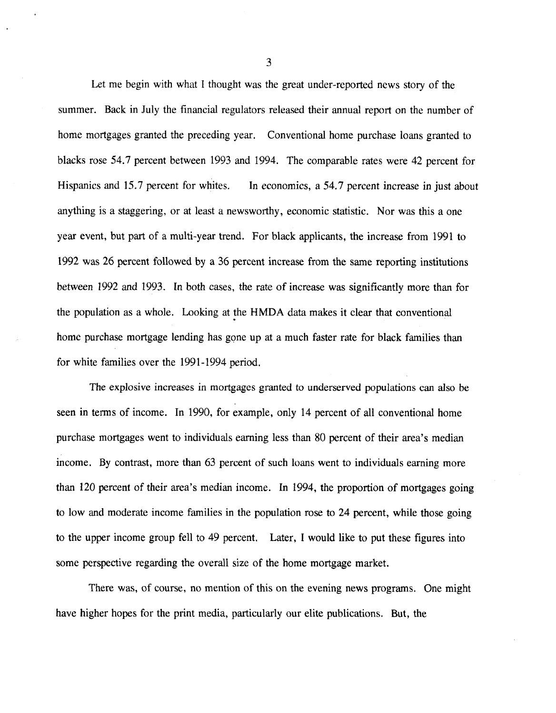Let me begin with what I thought was the great under-reported news story of the summer. Back in July the financial regulators released their annual report on the number of home mortgages granted the preceding year. Conventional home purchase loans granted to blacks rose 54.7 percent between 1993 and 1994. The comparable rates were *42* percent for Hispanics and 15.7 percent for whites. In economics, a 54.7 percent increase in just about anything is a staggering, or at least a newsworthy, economic statistic. Nor was this a one year event, but part of a multi-year trend. For black applicants, the increase from 1991 to 1992 was 26 percent followed by a 36 percent increase from the same reporting institutions between 1992 and 1993. In both cases, the rate of increase was significantly more than for the population as a whole. Looking at the HMDA data makes it clear that conventional home purchase mortgage lending has gone up at a much faster rate for black families than for white families over the 1991-1994 period.

The explosive increases in mortgages granted to underserved populations can also be seen in terms of income. In 1990, for example, only 14 percent of all conventional home purchase mortgages went to individuals earning less than 80 percent of their area's median income. By contrast, more than 63 percent of such loans went to individuals earning more than 120 percent of their area's median income. In 1994, the proportion of mortgages going to low and moderate income families in the population rose to 24 percent, while those going to the upper income group fell to 49 percent. Later, I would like to put these figures into some perspective regarding the overall size of the home mortgage market.

There was, of course, no mention of this on the evening news programs. One might have higher hopes for the print media, particularly our elite publications. But, the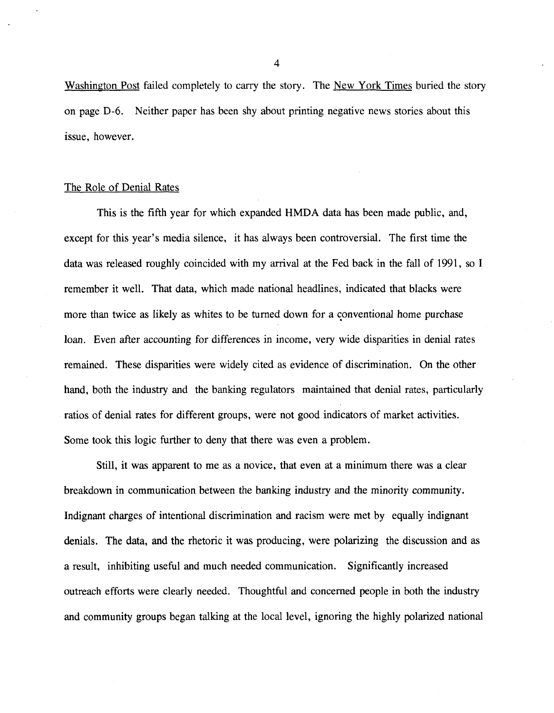Washington Post failed completely to carry the story. The New York Times buried the story on page D-6. Neither paper has been shy about printing negative news stories about this issue, however.

### The Role of Denial Rates

This is the fifth year for which expanded HMDA data has been made public, and, except for this year's media silence, it has always been controversial. The first time the data was released roughly coincided with my arrival at the Fed back in the fall of 1991, so I remember it well. That data, which made national headlines, indicated that blacks were more than twice as likely as whites to be turned down for a conventional home purchase loan. Even after accounting for differences in income, very wide disparities in denial rates remained. These disparities were widely cited as evidence of discrimination. On the other hand, both the industry and the banking regulators maintained that denial rates, particularly ratios of denial rates for different groups, were not good indicators of market activities. Some took this logic further to deny that there was even a problem.

Still, it was apparent to me as a novice, that even at a minimum there was a clear breakdown in communication between the banking industry and the minority community. Indignant charges of intentional discrimination and racism were met by equally indignant denials. The data, and the rhetoric it was producing, were polarizing the discussion and as a result, inhibiting useful and much needed communication. Significantly increased outreach efforts were clearly needed. Thoughtful and concerned people in both the industry and community groups began talking at the local level, ignoring the highly polarized national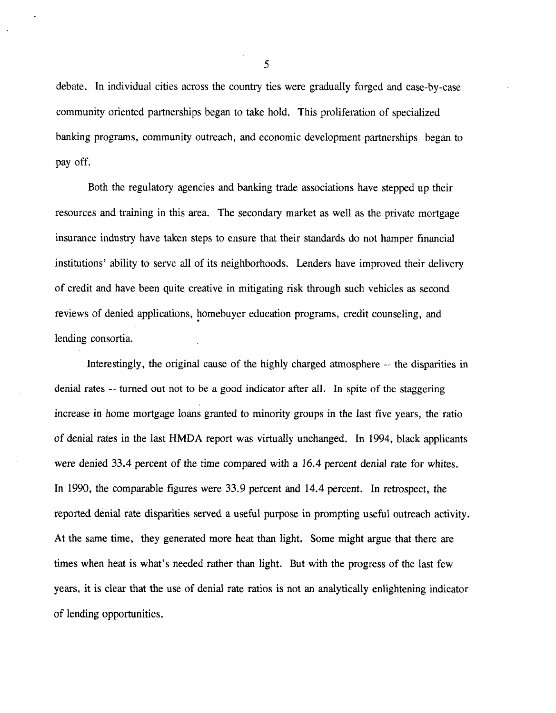debate. In individual cities across the country ties were gradually forged and case-by-case community oriented partnerships began to take hold. This proliferation of specialized banking programs, community outreach, and economic development partnerships began to pay off.

Both the regulatory agencies and banking trade associations have stepped up their resources and training in this area. The secondary market as well as the private mortgage insurance industry have taken steps to ensure that their standards do not hamper financial institutions' ability to serve all of its neighborhoods. Lenders have improved their delivery of credit and have been quite creative in mitigating risk through such vehicles as second reviews of denied applications, homebuyer education programs, credit counseling, and lending consortia.

Interestingly, the original cause of the highly charged atmosphere — the disparities in denial rates — turned out not to be a good indicator after all. In spite of the staggering increase in home mortgage loans granted to minority groups in the last five years, the ratio of denial rates in the last HMDA report was virtually unchanged. In 1994, black applicants were denied 33.4 percent of the time compared with a 16.4 percent denial rate for whites. In 1990, the comparable figures were 33.9 percent and 14.4 percent. In retrospect, the reported denial rate disparities served a useful purpose in prompting useful outreach activity. At the same time, they generated more heat than light. Some might argue that there are times when heat is what's needed rather than light. But with the progress of the last few years, it is clear that the use of denial rate ratios is not an analytically enlightening indicator of lending opportunities.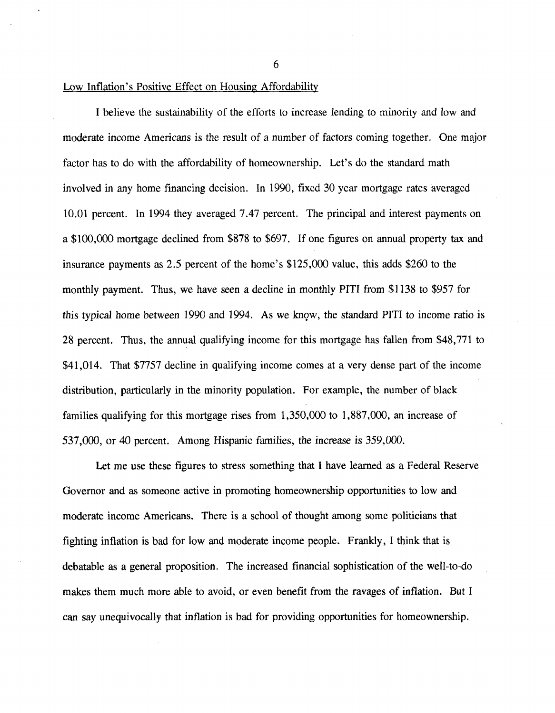6

# Low Inflation's Positive Effect on Housing Affordabilitv

I believe the sustainability of the efforts to increase lending to minority and low and moderate income Americans is the result of a number of factors coming together. One major factor has to do with the affordability of homeownership. Let's do the standard math involved in any home financing decision. In 1990, fixed 30 year mortgage rates averaged 10.01 percent. In 1994 they averaged 7.47 percent. The principal and interest payments on a \$100,000 mortgage declined from \$878 to \$697. If one figures on annual property tax and insurance payments as 2.5 percent of the home's \$125,000 value, this adds \$260 to the monthly payment. Thus, we have seen a decline in monthly PITI from \$1138 to \$957 for this typical home between 1990 and 1994. As we know, the standard PITI to income ratio is 28 percent. Thus, the annual qualifying income for this mortgage has fallen from \$48,771 to \$41,014. That \$7757 decline in qualifying income comes at a very dense part of the income distribution, particularly in the minority population. For example, the number of black families qualifying for this mortgage rises from 1,350,000 to 1,887,000, an increase of 537,000, or 40 percent. Among Hispanic families, the increase is 359,000.

Let me use these figures to stress something that I have learned as a Federal Reserve Governor and as someone active in promoting homeownership opportunities to low and moderate income Americans. There is a school of thought among some politicians that fighting inflation is bad for low and moderate income people. Frankly, I think that is debatable as a general proposition. The increased financial sophistication of the well-to-do makes them much more able to avoid, or even benefit from the ravages of inflation. But I can say unequivocally that inflation is bad for providing opportunities for homeownership.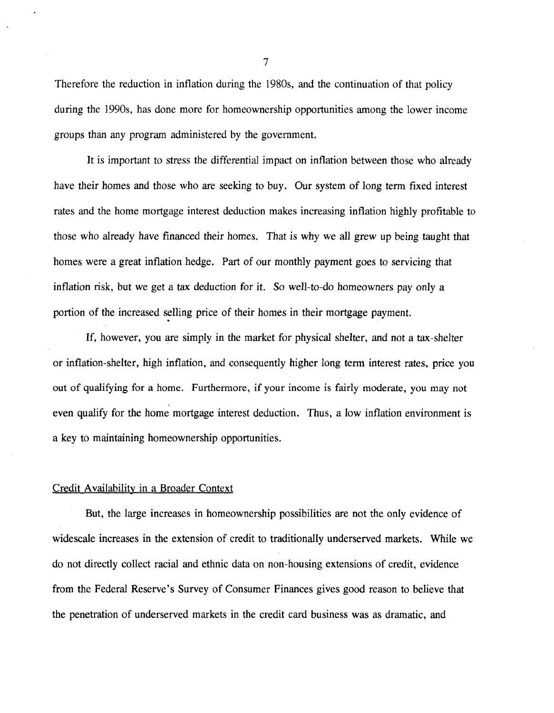Therefore the reduction in inflation during the 1980s, and the continuation of that policy during the 1990s, has done more for homeownership opportunities among the lower income groups than any program administered by the government.

It is important to stress the differential impact on inflation between those who already have their homes and those who are seeking to buy. Our system of long term fixed interest rates and the home mortgage interest deduction makes increasing inflation highly profitable to those who already have financed their homes. That is why we all grew up being taught that homes were a great inflation hedge. Part of our monthly payment goes to servicing that inflation risk, but we get a tax deduction for it. So well-to-do homeowners pay only a portion of the increased selling price of their homes in their mortgage payment.

If, however, you are simply in the market for physical shelter, and not a tax-shelter or inflation-shelter, high inflation, and consequently higher long term interest rates, price you out of qualifying for a home. Furthermore, if your income is fairly moderate, you may not even qualify for the home mortgage interest deduction. Thus, a low inflation environment is a key to maintaining homeownership opportunities.

### Credit Availability in a Broader Context

But, the large increases in homeownership possibilities are not the only evidence of widescale increases in the extension of credit to traditionally underserved markets. While we do not directly collect racial and ethnic data on non-housing extensions of credit, evidence from the Federal Reserve's Survey of Consumer Finances gives good reason to believe that the penetration of underserved markets in the credit card business was as dramatic, and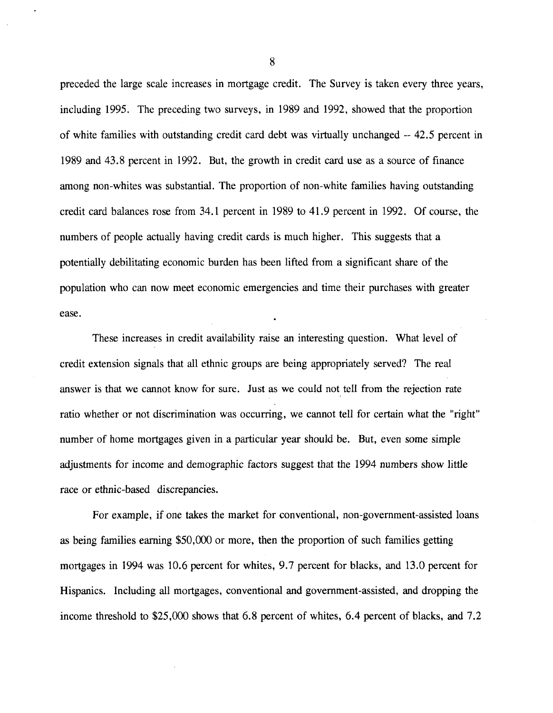preceded the large scale increases in mortgage credit. The Survey is taken every three years, including 1995. The preceding two surveys, in 1989 and 1992, showed that the proportion of white families with outstanding credit card debt was virtually unchanged — 42.5 percent in 1989 and 43.8 percent in 1992. But, the growth in credit card use as a source of finance among non-whites was substantial. The proportion of non-white families having outstanding credit card balances rose from 34.1 percent in 1989 to 41.9 percent in 1992. Of course, the numbers of people actually having credit cards is much higher. This suggests that a potentially debilitating economic burden has been lifted from a significant share of the population who can now meet economic emergencies and time their purchases with greater ease.

These increases in credit availability raise an interesting question. What level of credit extension signals that all ethnic groups are being appropriately served? The real answer is that we cannot know for sure. Just as we could not tell from the rejection rate ratio whether or not discrimination was occurring, we cannot tell for certain what the "right" number of home mortgages given in a particular year should be. But, even some simple adjustments for income and demographic factors suggest that the 1994 numbers show little race or ethnic-based discrepancies.

For example, if one takes the market for conventional, non-government-assisted loans as being families earning \$50,000 or more, then the proportion of such families getting mortgages in 1994 was 10.6 percent for whites, 9.7 percent for blacks, and 13.0 percent for Hispanics. Including all mortgages, conventional and government-assisted, and dropping the income threshold to \$25,000 shows that 6.8 percent of whites, 6.4 percent of blacks, and 7.2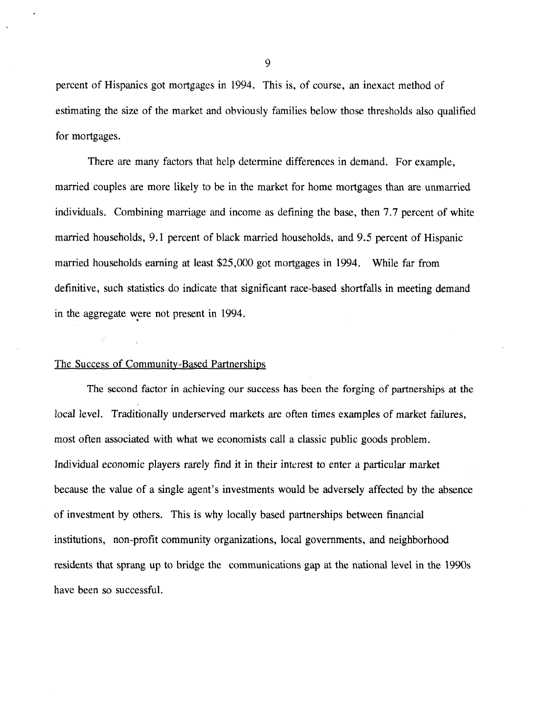percent of Hispanics got mortgages in 1994. This is, of course, an inexact method of estimating the size of the market and obviously families below those thresholds also qualified for mortgages.

There are many factors that help determine differences in demand. For example, married couples are more likely to be in the market for home mortgages than are unmarried individuals. Combining marriage and income as defining the base, then 7.7 percent of white married households, 9.1 percent of black married households, and 9.5 percent of Hispanic married households earning at least \$25,000 got mortgages in 1994. While far from definitive, such statistics do indicate that significant race-based shortfalls in meeting demand in the aggregate were not present in 1994.

### The Success of Community-Based Partnerships

The second factor in achieving our success has been the forging of partnerships at the local level. Traditionally underserved markets are often times examples of market failures, most often associated with what we economists call a classic public goods problem. Individual economic players rarely find it in their interest to enter a particular market because the value of a single agent's investments would be adversely affected by the absence of investment by others. This is why locally based partnerships between financial institutions, non-profit community organizations, local governments, and neighborhood residents that sprang up to bridge the communications gap at the national level in the 1990s have been so successful.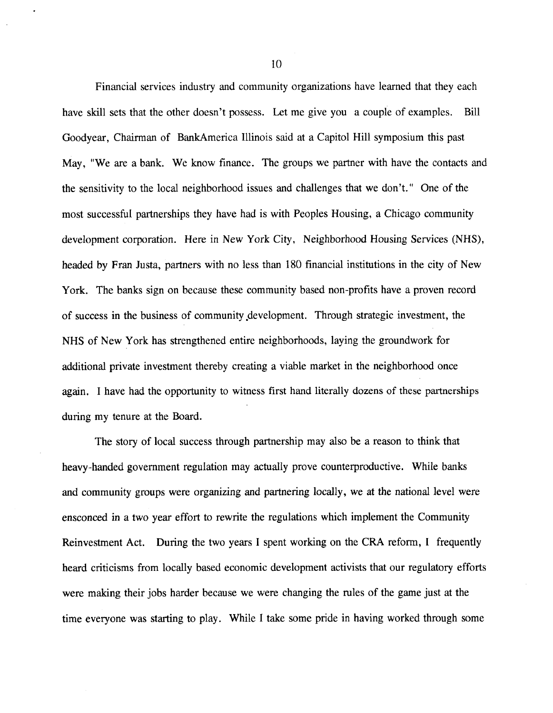Financial services industry and community organizations have learned that they each have skill sets that the other doesn't possess. Let me give you a couple of examples. Bill Goodyear, Chairman of BankAmerica Illinois said at a Capitol Hill symposium this past May, "We are a bank. We know finance. The groups we partner with have the contacts and the sensitivity to the local neighborhood issues and challenges that we don't." One of the most successful partnerships they have had is with Peoples Housing, a Chicago community development corporation. Here in New York City, Neighborhood Housing Services (NHS), headed by Fran Justa, partners with no less than 180 financial institutions in the city of New York. The banks sign on because these community based non-profits have a proven record of success in the business of community development. Through strategic investment, the NHS of New York has strengthened entire neighborhoods, laying the groundwork for additional private investment thereby creating a viable market in the neighborhood once again. I have had the opportunity to witness first hand literally dozens of these partnerships during my tenure at the Board.

The story of local success through partnership may also be a reason to think that heavy-handed government regulation may actually prove counterproductive. While banks and community groups were organizing and partnering locally, we at the national level were ensconced in a two year effort to rewrite the regulations which implement the Community Reinvestment Act. During the two years I spent working on the CRA reform, I frequently heard criticisms from locally based economic development activists that our regulatory efforts were making their jobs harder because we were changing the rules of the game just at the time everyone was starting to play. While I take some pride in having worked through some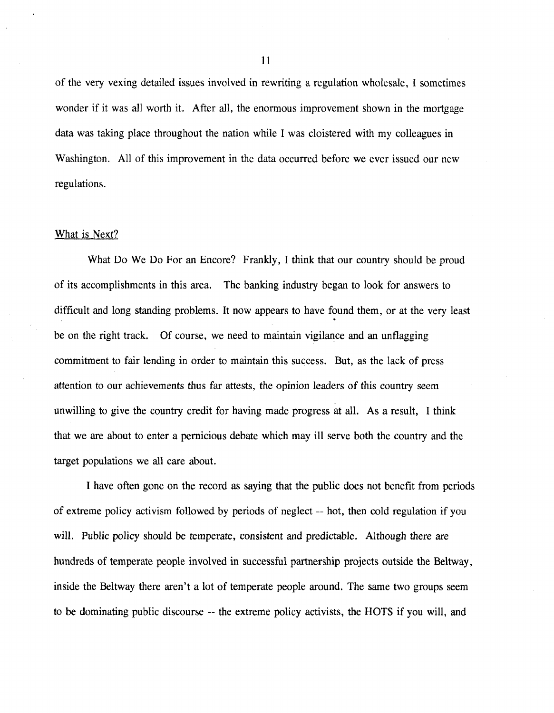of the very vexing detailed issues involved in rewriting a regulation wholesale, I sometimes wonder if it was all worth it. After all, the enormous improvement shown in the mortgage data was taking place throughout the nation while I was cloistered with my colleagues in Washington. All of this improvement in the data occurred before we ever issued our new regulations.

### What is Next?

What Do We Do For an Encore? Frankly, I think that our country should be proud of its accomplishments in this area. The banking industry began to look for answers to difficult and long standing problems. It now appears to have found them, or at the very least be on the right track. Of course, we need to maintain vigilance and an unflagging commitment to fair lending in order to maintain this success. But, as the lack of press attention to our achievements thus far attests, the opinion leaders of this country seem unwilling to give the country credit for having made progress at all. As a result, I think that we are about to enter a pernicious debate which may ill serve both the country and the target populations we all care about.

I have often gone on the record as saying that the public does not benefit from periods of extreme policy activism followed by periods of neglect — hot, then cold regulation if you will. Public policy should be temperate, consistent and predictable. Although there are hundreds of temperate people involved in successful partnership projects outside the Beltway, inside the Beltway there aren't a lot of temperate people around. The same two groups seem to be dominating public discourse — the extreme policy activists, the HOTS if you will, and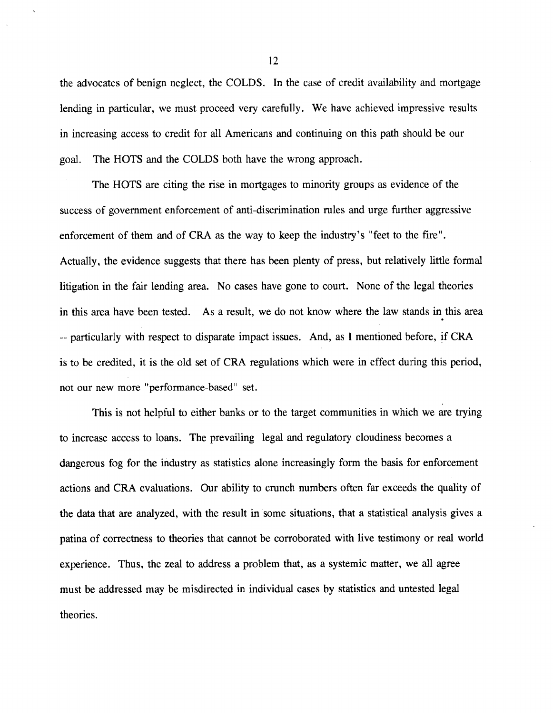the advocates of benign neglect, the COLDS. In the case of credit availability and mortgage lending in particular, we must proceed very carefully. We have achieved impressive results in increasing access to credit for all Americans and continuing on this path should be our goal. The HOTS and the COLDS both have the wrong approach.

The HOTS are citing the rise in mortgages to minority groups as evidence of the success of government enforcement of anti-discrimination rules and urge further aggressive enforcement of them and of CRA as the way to keep the industry's "feet to the fire". Actually, the evidence suggests that there has been plenty of press, but relatively little formal litigation in the fair lending area. No cases have gone to court. None of the legal theories in this area have been tested. As a result, we do not know where the law stands in this area - particularly with respect to disparate impact issues. And, as I mentioned before, if CRA is to be credited, it is the old set of CRA regulations which were in effect during this period, not our new more "performance-based" set.

This is not helpful to either banks or to the target communities in which we are trying to increase access to loans. The prevailing legal and regulatory cloudiness becomes a dangerous fog for the industry as statistics alone increasingly form the basis for enforcement actions and CRA evaluations. Our ability to crunch numbers often far exceeds the quality of the data that are analyzed, with the result in some situations, that a statistical analysis gives a patina of correctness to theories that cannot be corroborated with live testimony or real world experience. Thus, the zeal to address a problem that, as a systemic matter, we all agree must be addressed may be misdirected in individual cases by statistics and untested legal theories.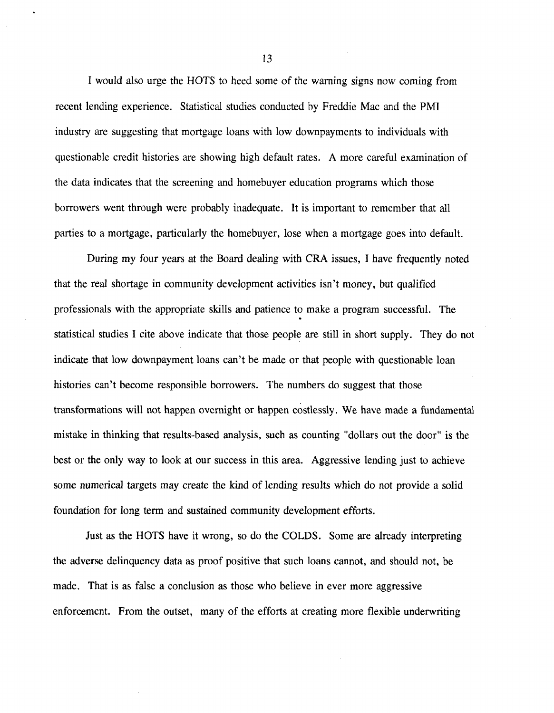I would also urge the HOTS to heed some of the warning signs now coming from recent lending experience. Statistical studies conducted by Freddie Mac and the PMI industry are suggesting that mortgage loans with low downpayments to individuals with questionable credit histories are showing high default rates. A more careful examination of the data indicates that the screening and homebuyer education programs which those borrowers went through were probably inadequate. It is important to remember that all parties to a mortgage, particularly the homebuyer, lose when a mortgage goes into default.

During my four years at the Board dealing with CRA issues, I have frequently noted that the real shortage in community development activities isn't money, but qualified professionals with the appropriate skills and patience to make a program successful. The statistical studies I cite above indicate that those people are still in short supply. They do not indicate that low downpayment loans can't be made or that people with questionable loan histories can't become responsible borrowers. The numbers do suggest that those transformations will not happen overnight or happen costlessly. We have made a fundamental mistake in thinking that results-based analysis, such as counting "dollars out the door" is the best or the only way to look at our success in this area. Aggressive lending just to achieve some numerical targets may create the kind of lending results which do not provide a solid foundation for long term and sustained community development efforts.

Just as the HOTS have it wrong, so do the COLDS. Some are already interpreting the adverse delinquency data as proof positive that such loans cannot, and should not, be made. That is as false a conclusion as those who believe in ever more aggressive enforcement. From the outset, many of the efforts at creating more flexible underwriting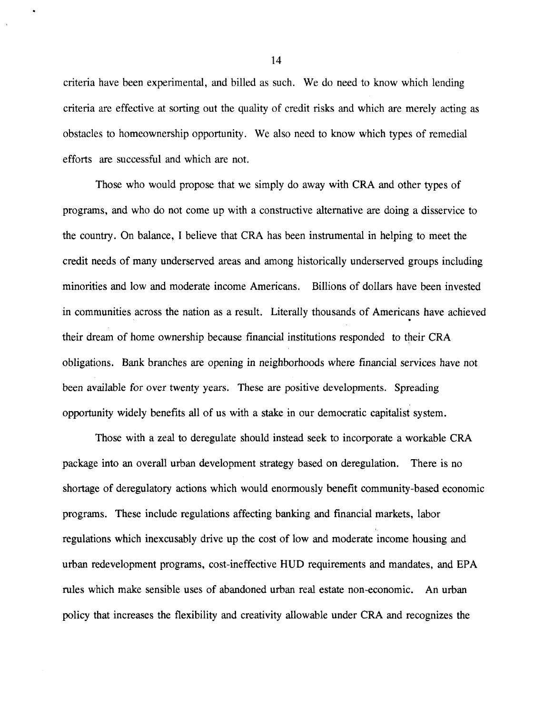criteria have been experimental, and billed as such. We do need to know which lending criteria are effective at sorting out the quality of credit risks and which are merely acting as obstacles to homeownership opportunity. We also need to know which types of remedial efforts are successful and which are not.

Those who would propose that we simply do away with CRA and other types of programs, and who do not come up with a constructive alternative are doing a disservice to the country. On balance, I believe that CRA has been instrumental in helping to meet the credit needs of many underserved areas and among historically underserved groups including minorities and low and moderate income Americans. Billions of dollars have been invested in communities across the nation as a result. Literally thousands of Americans have achieved their dream of home ownership because financial institutions responded to their CRA obligations. Bank branches are opening in neighborhoods where financial services have not been available for over twenty years. These are positive developments. Spreading opportunity widely benefits all of us with a stake in our democratic capitalist system.

Those with a zeal to deregulate should instead seek to incorporate a workable CRA package into an overall urban development strategy based on deregulation. There is no shortage of deregulatory actions which would enormously benefit community-based economic programs. These include regulations affecting banking and financial markets, labor regulations which inexcusably drive up the cost of low and moderate income housing and urban redevelopment programs, cost-ineffective HUD requirements and mandates, and EPA rules which make sensible uses of abandoned urban real estate non-economic. An urban policy that increases the flexibility and creativity allowable under CRA and recognizes the